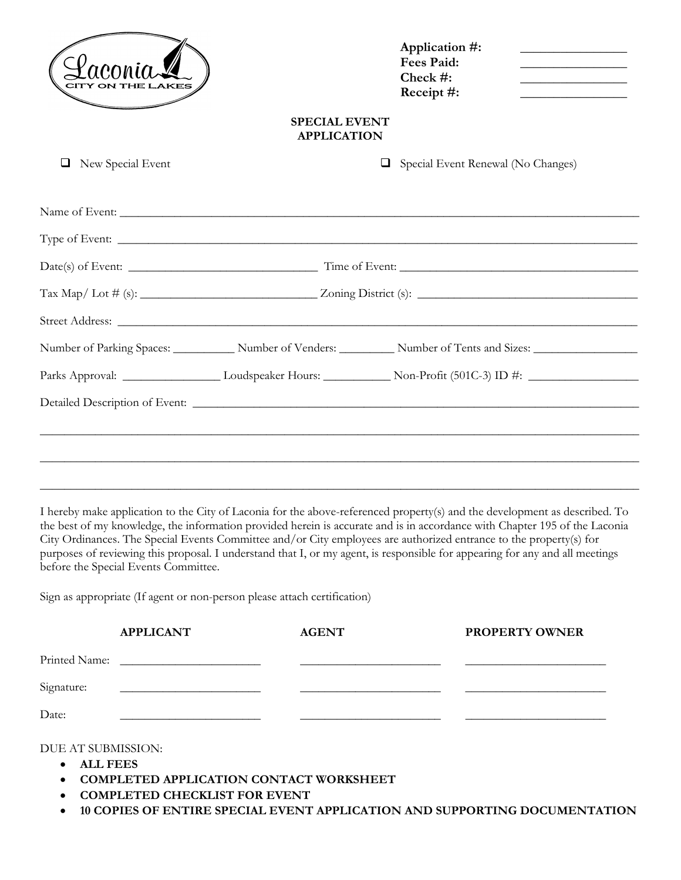|                   |                                                                                                                | Application #:<br><b>Fees Paid:</b><br>Check #:<br>Receipt #: | the control of the control of the control of the control of the control of<br><u> 1989 - Johann Harry Barn, mars and de Branch and de Branch and de Branch and de Branch and de Branch and de Br</u><br><u> 1989 - Johann Harry Harry Harry Harry Harry Harry Harry Harry Harry Harry Harry Harry Harry Harry Harry Harry</u><br>the control of the control of the control of the |
|-------------------|----------------------------------------------------------------------------------------------------------------|---------------------------------------------------------------|-----------------------------------------------------------------------------------------------------------------------------------------------------------------------------------------------------------------------------------------------------------------------------------------------------------------------------------------------------------------------------------|
|                   | <b>SPECIAL EVENT</b><br><b>APPLICATION</b>                                                                     |                                                               |                                                                                                                                                                                                                                                                                                                                                                                   |
| New Special Event | □                                                                                                              | Special Event Renewal (No Changes)                            |                                                                                                                                                                                                                                                                                                                                                                                   |
|                   | Name of Event:                                                                                                 |                                                               |                                                                                                                                                                                                                                                                                                                                                                                   |
|                   |                                                                                                                |                                                               |                                                                                                                                                                                                                                                                                                                                                                                   |
|                   |                                                                                                                |                                                               |                                                                                                                                                                                                                                                                                                                                                                                   |
|                   |                                                                                                                |                                                               |                                                                                                                                                                                                                                                                                                                                                                                   |
|                   |                                                                                                                |                                                               |                                                                                                                                                                                                                                                                                                                                                                                   |
|                   | Number of Parking Spaces: _____________ Number of Venders: __________ Number of Tents and Sizes: _____________ |                                                               |                                                                                                                                                                                                                                                                                                                                                                                   |
|                   |                                                                                                                |                                                               |                                                                                                                                                                                                                                                                                                                                                                                   |
|                   |                                                                                                                |                                                               |                                                                                                                                                                                                                                                                                                                                                                                   |
|                   |                                                                                                                |                                                               |                                                                                                                                                                                                                                                                                                                                                                                   |
|                   |                                                                                                                |                                                               |                                                                                                                                                                                                                                                                                                                                                                                   |
|                   |                                                                                                                |                                                               |                                                                                                                                                                                                                                                                                                                                                                                   |

I hereby make application to the City of Laconia for the above-referenced property(s) and the development as described. To the best of my knowledge, the information provided herein is accurate and is in accordance with Chapter 195 of the Laconia City Ordinances. The Special Events Committee and/or City employees are authorized entrance to the property(s) for purposes of reviewing this proposal. I understand that I, or my agent, is responsible for appearing for any and all meetings before the Special Events Committee.

Sign as appropriate (If agent or non-person please attach certification)

|            | <b>APPLICANT</b>                                                                                                      | <b>AGENT</b> | <b>PROPERTY OWNER</b> |
|------------|-----------------------------------------------------------------------------------------------------------------------|--------------|-----------------------|
|            |                                                                                                                       |              |                       |
| Signature: | <u> 1980 - Jan Stein Harry Stein Harry Stein Harry Stein Harry Stein Harry Stein Harry Stein Harry Stein Harry St</u> |              |                       |
| Date:      |                                                                                                                       |              |                       |

DUE AT SUBMISSION:

- **ALL FEES**
- **COMPLETED APPLICATION CONTACT WORKSHEET**
- **COMPLETED CHECKLIST FOR EVENT**
- **10 COPIES OF ENTIRE SPECIAL EVENT APPLICATION AND SUPPORTING DOCUMENTATION**